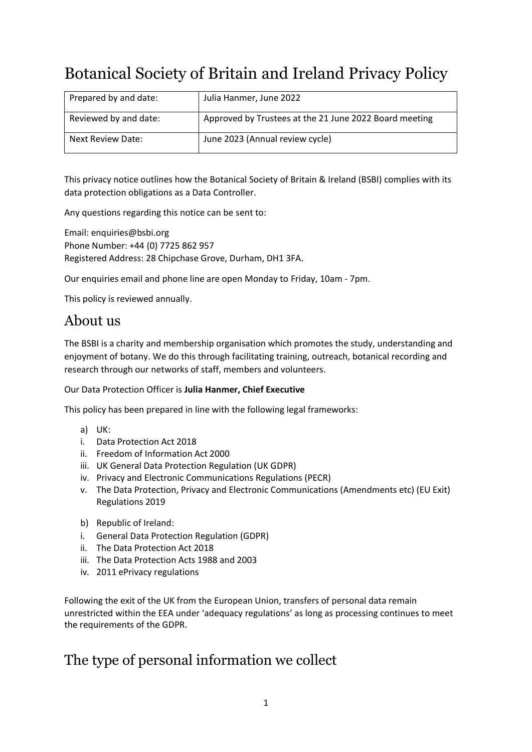# Botanical Society of Britain and Ireland Privacy Policy

| Prepared by and date: | Julia Hanmer, June 2022                                |
|-----------------------|--------------------------------------------------------|
| Reviewed by and date: | Approved by Trustees at the 21 June 2022 Board meeting |
| Next Review Date:     | June 2023 (Annual review cycle)                        |

This privacy notice outlines how the Botanical Society of Britain & Ireland (BSBI) complies with its data protection obligations as a Data Controller.

Any questions regarding this notice can be sent to:

Email: [enquiries@bsbi.org](mailto:enquiries@bsbi.org) Phone Number: +44 (0) 7725 862 957 Registered Address: 28 Chipchase Grove, Durham, DH1 3FA.

Our enquiries email and phone line are open Monday to Friday, 10am - 7pm.

This policy is reviewed annually.

#### About us

The BSBI is a charity and membership organisation which promotes the study, understanding and enjoyment of botany. We do this through facilitating training, outreach, botanical recording and research through our networks of staff, members and volunteers.

#### Our Data Protection Officer is **Julia Hanmer, Chief Executive**

This policy has been prepared in line with the following legal frameworks:

- a) UK:
- i. Data Protection Act 2018
- ii. Freedom of Information Act 2000
- iii. UK General Data Protection Regulation (UK GDPR)
- iv. Privacy and Electronic Communications Regulations (PECR)
- v. The Data Protection, Privacy and Electronic Communications (Amendments etc) (EU Exit) Regulations 2019
- b) Republic of Ireland:
- i. General Data Protection Regulation (GDPR)
- ii. The Data Protection Act 2018
- iii. The Data Protection Acts 1988 and 2003
- iv. 2011 ePrivacy regulations

Following the exit of the UK from the European Union, transfers of personal data remain unrestricted within the EEA under 'adequacy regulations' as long as processing continues to meet the requirements of the GDPR.

#### The type of personal information we collect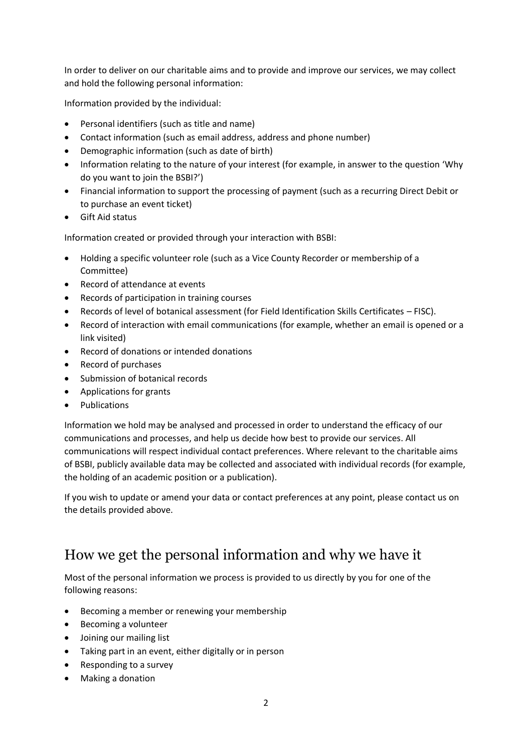In order to deliver on our charitable aims and to provide and improve our services, we may collect and hold the following personal information:

Information provided by the individual:

- Personal identifiers (such as title and name)
- Contact information (such as email address, address and phone number)
- Demographic information (such as date of birth)
- Information relating to the nature of your interest (for example, in answer to the question 'Why do you want to join the BSBI?')
- Financial information to support the processing of payment (such as a recurring Direct Debit or to purchase an event ticket)
- Gift Aid status

Information created or provided through your interaction with BSBI:

- Holding a specific volunteer role (such as a Vice County Recorder or membership of a Committee)
- Record of attendance at events
- Records of participation in training courses
- Records of level of botanical assessment (for Field Identification Skills Certificates FISC).
- Record of interaction with email communications (for example, whether an email is opened or a link visited)
- Record of donations or intended donations
- Record of purchases
- Submission of botanical records
- Applications for grants
- Publications

Information we hold may be analysed and processed in order to understand the efficacy of our communications and processes, and help us decide how best to provide our services. All communications will respect individual contact preferences. Where relevant to the charitable aims of BSBI, publicly available data may be collected and associated with individual records (for example, the holding of an academic position or a publication).

If you wish to update or amend your data or contact preferences at any point, please contact us on the details provided above.

## How we get the personal information and why we have it

Most of the personal information we process is provided to us directly by you for one of the following reasons:

- Becoming a member or renewing your membership
- Becoming a volunteer
- Joining our mailing list
- Taking part in an event, either digitally or in person
- Responding to a survey
- Making a donation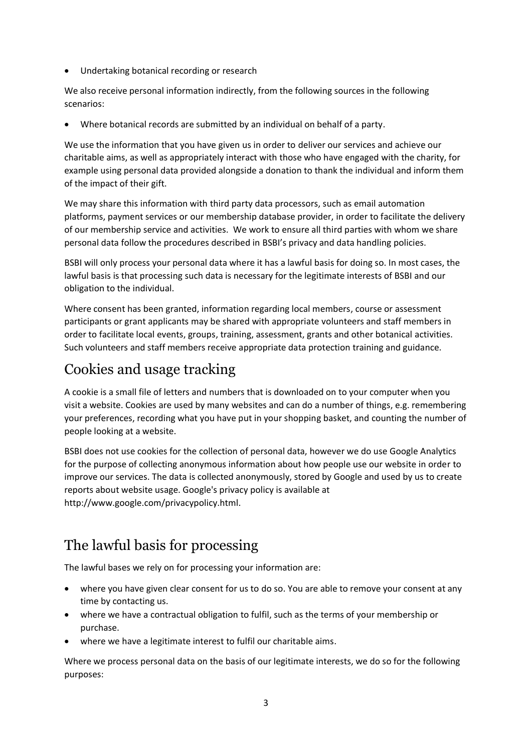• Undertaking botanical recording or research

We also receive personal information indirectly, from the following sources in the following scenarios:

• Where botanical records are submitted by an individual on behalf of a party.

We use the information that you have given us in order to deliver our services and achieve our charitable aims, as well as appropriately interact with those who have engaged with the charity, for example using personal data provided alongside a donation to thank the individual and inform them of the impact of their gift.

We may share this information with third party data processors, such as email automation platforms, payment services or our membership database provider, in order to facilitate the delivery of our membership service and activities. We work to ensure all third parties with whom we share personal data follow the procedures described in BSBI's privacy and data handling policies.

BSBI will only process your personal data where it has a lawful basis for doing so. In most cases, the lawful basis is that processing such data is necessary for the legitimate interests of BSBI and our obligation to the individual.

Where consent has been granted, information regarding local members, course or assessment participants or grant applicants may be shared with appropriate volunteers and staff members in order to facilitate local events, groups, training, assessment, grants and other botanical activities. Such volunteers and staff members receive appropriate data protection training and guidance.

## Cookies and usage tracking

A cookie is a small file of letters and numbers that is downloaded on to your computer when you visit a website. Cookies are used by many websites and can do a number of things, e.g. remembering your preferences, recording what you have put in your shopping basket, and counting the number of people looking at a website.

BSBI does not use cookies for the collection of personal data, however we do use Google Analytics for the purpose of collecting anonymous information about how people use our website in order to improve our services. The data is collected anonymously, stored by Google and used by us to create reports about website usage. Google's privacy policy is available at [http://www.google.com/privacypolicy.html.](http://www.google.com/privacypolicy.html)

## The lawful basis for processing

The lawful bases we rely on for processing your information are:

- where you have given clear consent for us to do so. You are able to remove your consent at any time by contacting us.
- where we have a contractual obligation to fulfil, such as the terms of your membership or purchase.
- where we have a legitimate interest to fulfil our charitable aims.

Where we process personal data on the basis of our legitimate interests, we do so for the following purposes: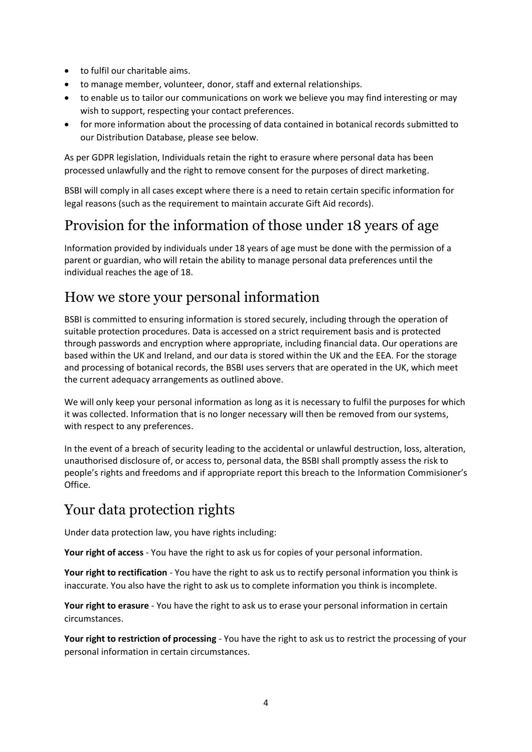- to fulfil our charitable aims.
- to manage member, volunteer, donor, staff and external relationships.
- to enable us to tailor our communications on work we believe you may find interesting or may wish to support, respecting your contact preferences.
- for more information about the processing of data contained in botanical records submitted to our Distribution Database, please see below.

As per GDPR legislation, Individuals retain the right to erasure where personal data has been processed unlawfully and the right to remove consent for the purposes of direct marketing.

BSBI will comply in all cases except where there is a need to retain certain specific information for legal reasons (such as the requirement to maintain accurate Gift Aid records).

#### Provision for the information of those under 18 years of age

Information provided by individuals under 18 years of age must be done with the permission of a parent or guardian, who will retain the ability to manage personal data preferences until the individual reaches the age of 18.

#### How we store your personal information

BSBI is committed to ensuring information is stored securely, including through the operation of suitable protection procedures. Data is accessed on a strict requirement basis and is protected through passwords and encryption where appropriate, including financial data. Our operations are based within the UK and Ireland, and our data is stored within the UK and the EEA. For the storage and processing of botanical records, the BSBI uses servers that are operated in the UK, which meet the current adequacy arrangements as outlined above.

We will only keep your personal information as long as it is necessary to fulfil the purposes for which it was collected. Information that is no longer necessary will then be removed from our systems, with respect to any preferences.

In the event of a breach of security leading to the accidental or unlawful destruction, loss, alteration, unauthorised disclosure of, or access to, personal data, the BSBI shall promptly assess the risk to people's rights and freedoms and if appropriate report this breach to the Information Commisioner's Office.

## Your data protection rights

Under data protection law, you have rights including:

**Your right of access** - You have the right to ask us for copies of your personal information.

**Your right to rectification** - You have the right to ask us to rectify personal information you think is inaccurate. You also have the right to ask us to complete information you think is incomplete.

**Your right to erasure** - You have the right to ask us to erase your personal information in certain circumstances.

**Your right to restriction of processing** - You have the right to ask us to restrict the processing of your personal information in certain circumstances.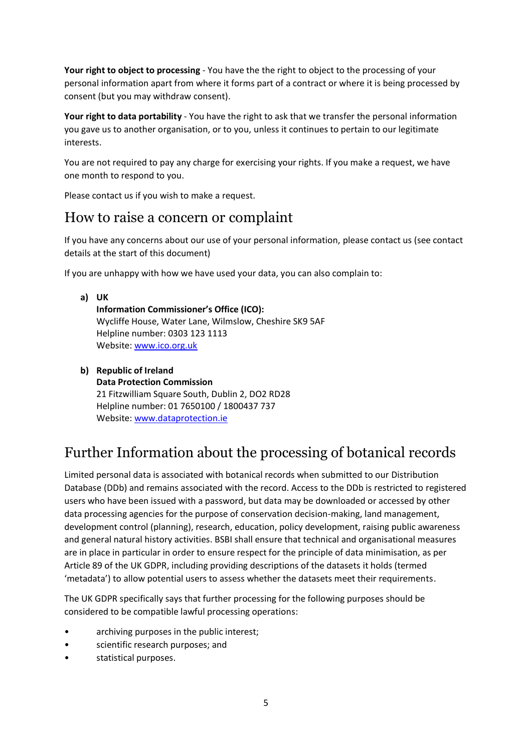**Your right to object to processing** - You have the the right to object to the processing of your personal information apart from where it forms part of a contract or where it is being processed by consent (but you may withdraw consent).

**Your right to data portability** - You have the right to ask that we transfer the personal information you gave us to another organisation, or to you, unless it continues to pertain to our legitimate interests.

You are not required to pay any charge for exercising your rights. If you make a request, we have one month to respond to you.

Please contact us if you wish to make a request.

#### How to raise a concern or complaint

If you have any concerns about our use of your personal information, please contact us (see contact details at the start of this document)

If you are unhappy with how we have used your data, you can also complain to:

- **a) UK Information Commissioner's Office (ICO):**  Wycliffe House, Water Lane, Wilmslow, Cheshire SK9 5AF Helpline number: 0303 123 1113 Website: [www.ico.org.uk](http://www.ico.org.uk/)
- **b) Republic of Ireland Data Protection Commission** 21 Fitzwilliam Square South, Dublin 2, DO2 RD28 Helpline number: 01 7650100 / 1800437 737 Website: [www.dataprotection.ie](http://www.dataprotection.ie/)

## Further Information about the processing of botanical records

Limited personal data is associated with botanical records when submitted to our Distribution Database (DDb) and remains associated with the record. Access to the DDb is restricted to registered users who have been issued with a password, but data may be downloaded or accessed by other data processing agencies for the purpose of conservation decision-making, land management, development control (planning), research, education, policy development, raising public awareness and general natural history activities. BSBI shall ensure that technical and organisational measures are in place in particular in order to ensure respect for the principle of data minimisation, as per Article 89 of the UK GDPR, including providing descriptions of the datasets it holds (termed 'metadata') to allow potential users to assess whether the datasets meet their requirements.

The UK GDPR specifically says that further processing for the following purposes should be considered to be compatible lawful processing operations:

- archiving purposes in the public interest;
- scientific research purposes; and
- statistical purposes.